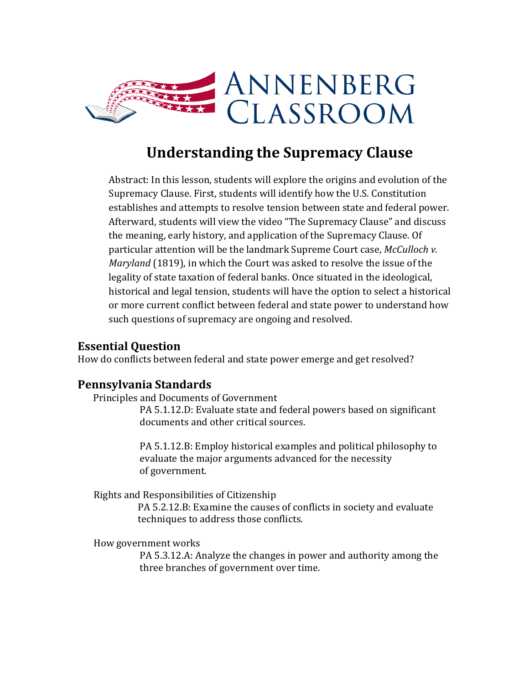

# **Understanding the Supremacy Clause**

Abstract: In this lesson, students will explore the origins and evolution of the Supremacy Clause. First, students will identify how the U.S. Constitution establishes and attempts to resolve tension between state and federal power. Afterward, students will view the video "The Supremacy Clause" and discuss the meaning, early history, and application of the Supremacy Clause. Of particular attention will be the landmark Supreme Court case, *McCulloch v. Maryland* (1819), in which the Court was asked to resolve the issue of the legality of state taxation of federal banks. Once situated in the ideological, historical and legal tension, students will have the option to select a historical or more current conflict between federal and state power to understand how such questions of supremacy are ongoing and resolved.

#### **Essential Question**

How do conflicts between federal and state power emerge and get resolved?

#### **Pennsylvania Standards**

Principles and Documents of Government

PA 5.1.12.D: Evaluate state and federal powers based on significant documents and other critical sources.

PA 5.1.12.B: Employ historical examples and political philosophy to evaluate the major arguments advanced for the necessity of government.

Rights and Responsibilities of Citizenship

 PA 5.2.12.B: Examine the causes of conflicts in society and evaluate techniques to address those conflicts.

How government works

PA 5.3.12.A: Analyze the changes in power and authority among the three branches of government over time.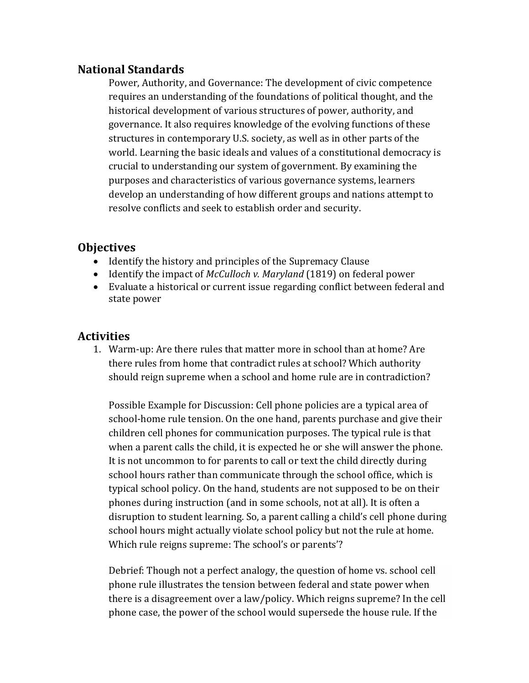#### **National Standards**

Power, Authority, and Governance: The development of civic competence requires an understanding of the foundations of political thought, and the historical development of various structures of power, authority, and governance. It also requires knowledge of the evolving functions of these structures in contemporary U.S. society, as well as in other parts of the world. Learning the basic ideals and values of a constitutional democracy is crucial to understanding our system of government. By examining the purposes and characteristics of various governance systems, learners develop an understanding of how different groups and nations attempt to resolve conflicts and seek to establish order and security.

#### **Objectives**

- Identify the history and principles of the Supremacy Clause
- Identify the impact of *McCulloch v. Maryland* (1819) on federal power
- Evaluate a historical or current issue regarding conflict between federal and state power

### **Activities**

1. Warm-up: Are there rules that matter more in school than at home? Are there rules from home that contradict rules at school? Which authority should reign supreme when a school and home rule are in contradiction?

Possible Example for Discussion: Cell phone policies are a typical area of school-home rule tension. On the one hand, parents purchase and give their children cell phones for communication purposes. The typical rule is that when a parent calls the child, it is expected he or she will answer the phone. It is not uncommon to for parents to call or text the child directly during school hours rather than communicate through the school office, which is typical school policy. On the hand, students are not supposed to be on their phones during instruction (and in some schools, not at all). It is often a disruption to student learning. So, a parent calling a child's cell phone during school hours might actually violate school policy but not the rule at home. Which rule reigns supreme: The school's or parents'?

Debrief: Though not a perfect analogy, the question of home vs. school cell phone rule illustrates the tension between federal and state power when there is a disagreement over a law/policy. Which reigns supreme? In the cell phone case, the power of the school would supersede the house rule. If the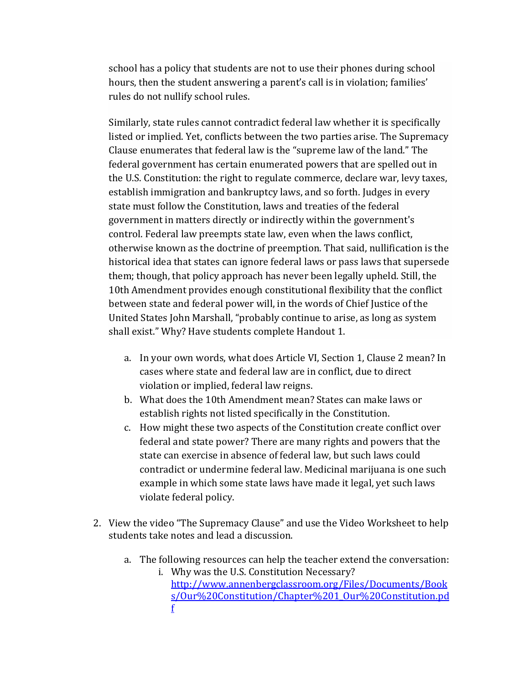school has a policy that students are not to use their phones during school hours, then the student answering a parent's call is in violation; families' rules do not nullify school rules.

Similarly, state rules cannot contradict federal law whether it is specifically listed or implied. Yet, conflicts between the two parties arise. The [Supremacy](https://dictionary.findlaw.com/definition/supremacy-clause.html)  [Clause](https://dictionary.findlaw.com/definition/supremacy-clause.html) enumerates that federal law is the "supreme law of the land." The federal government has certain enumerated powers that are spelled out in the U.S. Constitution: the right to regulate commerce, declare war, levy taxes, establish immigration and bankruptcy laws, and so forth. Judges in every state must follow the Constitution, laws and treaties of the federal government in matters directly or indirectly within the government's control. Federal law preempts state law, even when the laws conflict, otherwise known as the doctrine of preemption. That said, nullification is the historical idea that states can ignore federal laws or pass laws that supersede them; though, that policy approach has never been legally upheld. Still, the 10th Amendment provides enough constitutional flexibility that the conflict between state and federal power will, in the words of Chief Justice of the United States John Marshall, "probably continue to arise, as long as system shall exist." Why? Have students complete Handout 1.

- a. In your own words, what does Article VI, Section 1, Clause 2 mean? In cases where state and federal law are in conflict, due to direct violation or implied, federal law reigns.
- b. What does the 10th Amendment mean? States can make laws or establish rights not listed specifically in the Constitution.
- c. How might these two aspects of the Constitution create conflict over federal and state power? There are many rights and powers that the state can exercise in absence of federal law, but such laws could contradict or undermine federal law. Medicinal marijuana is one such example in which some state laws have made it legal, yet such laws violate federal policy.
- 2. View the video "The Supremacy Clause" and use the Video Worksheet to help students take notes and lead a discussion.
	- a. The following resources can help the teacher extend the conversation: i. Why was the U.S. Constitution Necessary?
		- [http://www.annenbergclassroom.org/Files/Documents/Book](http://www.annenbergclassroom.org/Files/Documents/Books/Our%20Constitution/Chapter%201_Our%20Constitution.pdf) [s/Our%20Constitution/Chapter%201\\_Our%20Constitution.pd](http://www.annenbergclassroom.org/Files/Documents/Books/Our%20Constitution/Chapter%201_Our%20Constitution.pdf) [f](http://www.annenbergclassroom.org/Files/Documents/Books/Our%20Constitution/Chapter%201_Our%20Constitution.pdf)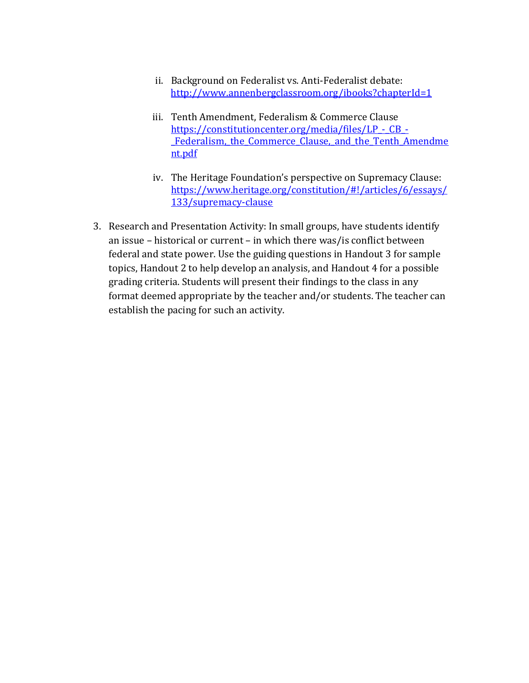- ii. Background on Federalist vs. Anti-Federalist debate: <http://www.annenbergclassroom.org/ibooks?chapterId=1>
- iii. Tenth Amendment, Federalism & Commerce Clause https://constitutioncenter.org/media/files/LP - CB -Federalism, the Commerce Clause, and the Tenth Amendme [nt.pdf](https://constitutioncenter.org/media/files/LP_-_CB_-_Federalism,_the_Commerce_Clause,_and_the_Tenth_Amendment.pdf)
- iv. The Heritage Foundation's perspective on Supremacy Clause: [https://www.heritage.org/constitution/#!/articles/6/essays/](https://www.heritage.org/constitution/#!/articles/6/essays/133/supremacy-clause) [133/supremacy-clause](https://www.heritage.org/constitution/#!/articles/6/essays/133/supremacy-clause)
- 3. Research and Presentation Activity: In small groups, have students identify an issue – historical or current – in which there was/is conflict between federal and state power. Use the guiding questions in Handout 3 for sample topics, Handout 2 to help develop an analysis, and Handout 4 for a possible grading criteria. Students will present their findings to the class in any format deemed appropriate by the teacher and/or students. The teacher can establish the pacing for such an activity.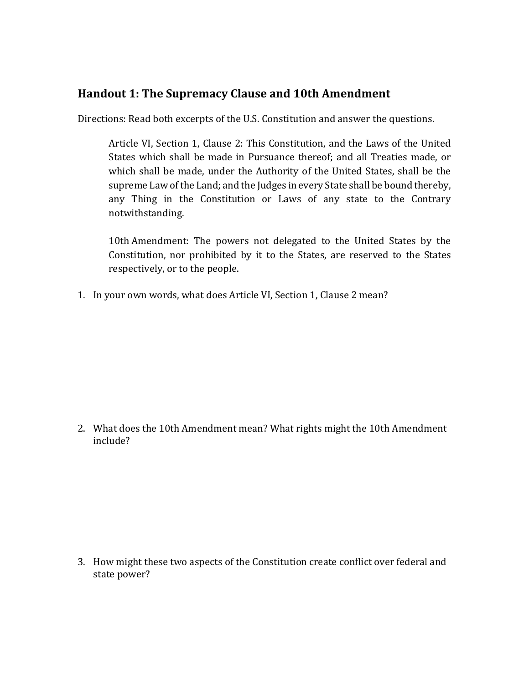#### **Handout 1: The Supremacy Clause and 10th Amendment**

Directions: Read both excerpts of the U.S. Constitution and answer the questions.

Article VI, Section 1, Clause 2: This Constitution, and the Laws of the United States which shall be made in Pursuance thereof; and all Treaties made, or which shall be made, under the Authority of the United States, shall be the supreme Law of the Land; and the Judges in every State shall be bound thereby, any Thing in the Constitution or Laws of any state to the Contrary notwithstanding.

10th Amendment: The powers not delegated to the United States by the Constitution, nor prohibited by it to the States, are reserved to the States respectively, or to the people.

1. In your own words, what does Article VI, Section 1, Clause 2 mean?

2. What does the 10th Amendment mean? What rights might the 10th Amendment include?

3. How might these two aspects of the Constitution create conflict over federal and state power?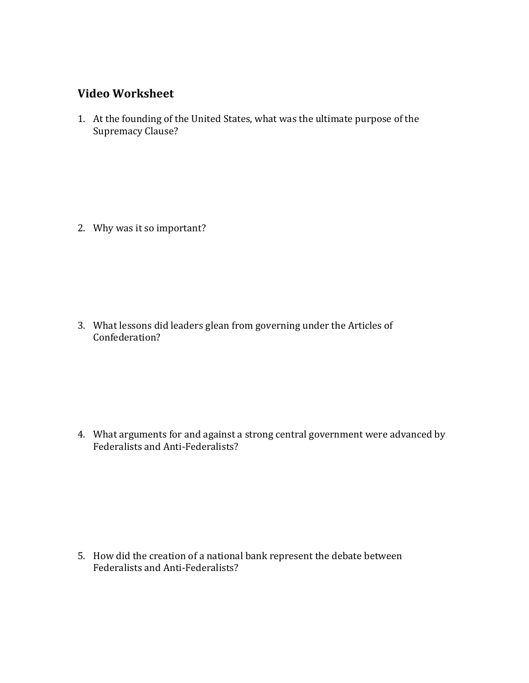#### **Video Worksheet**

1. At the founding of the United States, what was the ultimate purpose of the Supremacy Clause?

2. Why was it so important?

3. What lessons did leaders glean from governing under the Articles of Confederation?

4. What arguments for and against a strong central government were advanced by Federalists and Anti-Federalists?

5. How did the creation of a national bank represent the debate between Federalists and Anti-Federalists?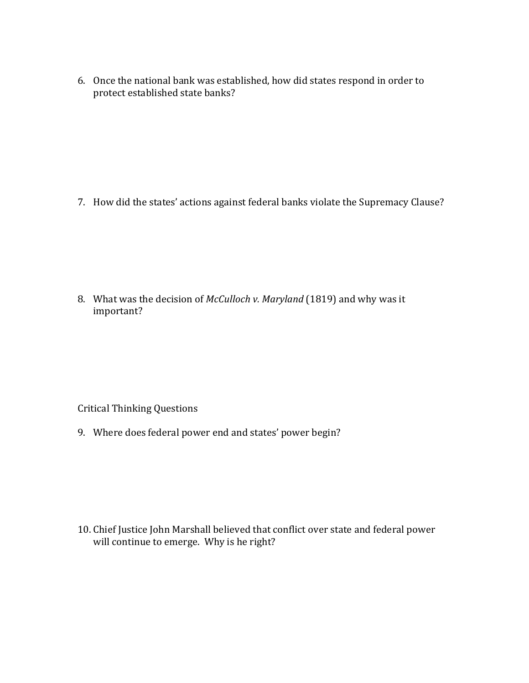6. Once the national bank was established, how did states respond in order to protect established state banks?

7. How did the states' actions against federal banks violate the Supremacy Clause?

8. What was the decision of *McCulloch v. Maryland* (1819) and why was it important?

Critical Thinking Questions

9. Where does federal power end and states' power begin?

10. Chief Justice John Marshall believed that conflict over state and federal power will continue to emerge. Why is he right?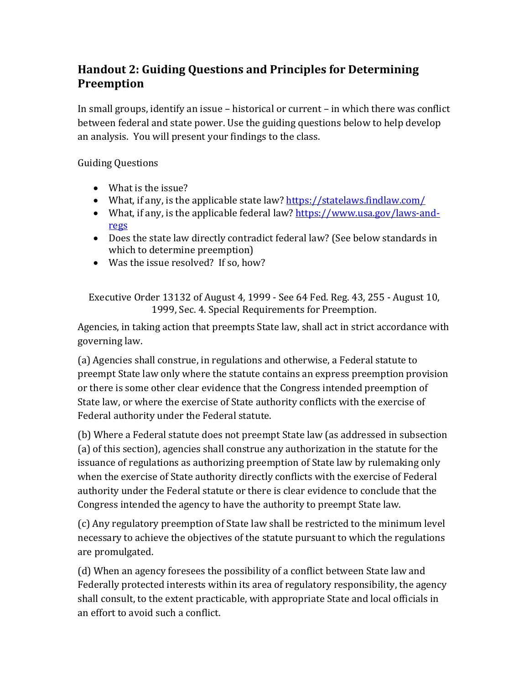# **Handout 2: Guiding Questions and Principles for Determining Preemption**

In small groups, identify an issue – historical or current – in which there was conflict between federal and state power. Use the guiding questions below to help develop an analysis. You will present your findings to the class.

Guiding Questions

- What is the issue?
- What, if any, is the applicable state law?<https://statelaws.findlaw.com/>
- What, if any, is the applicable federal law? [https://www.usa.gov/laws-and](https://www.usa.gov/laws-and-regs)[regs](https://www.usa.gov/laws-and-regs)
- Does the state law directly contradict federal law? (See below standards in which to determine preemption)
- Was the issue resolved? If so, how?

Executive Order 13132 of August 4, 1999 - See 64 Fed. Reg. 43, 255 - August 10, 1999, Sec. 4. Special Requirements for Preemption.

Agencies, in taking action that preempts State law, shall act in strict accordance with governing law.

(a) Agencies shall construe, in regulations and otherwise, a Federal statute to preempt State law only where the statute contains an express preemption provision or there is some other clear evidence that the Congress intended preemption of State law, or where the exercise of State authority conflicts with the exercise of Federal authority under the Federal statute.

(b) Where a Federal statute does not preempt State law (as addressed in subsection (a) of this section), agencies shall construe any authorization in the statute for the issuance of regulations as authorizing preemption of State law by rulemaking only when the exercise of State authority directly conflicts with the exercise of Federal authority under the Federal statute or there is clear evidence to conclude that the Congress intended the agency to have the authority to preempt State law.

(c) Any regulatory preemption of State law shall be restricted to the minimum level necessary to achieve the objectives of the statute pursuant to which the regulations are promulgated.

(d) When an agency foresees the possibility of a conflict between State law and Federally protected interests within its area of regulatory responsibility, the agency shall consult, to the extent practicable, with appropriate State and local officials in an effort to avoid such a conflict.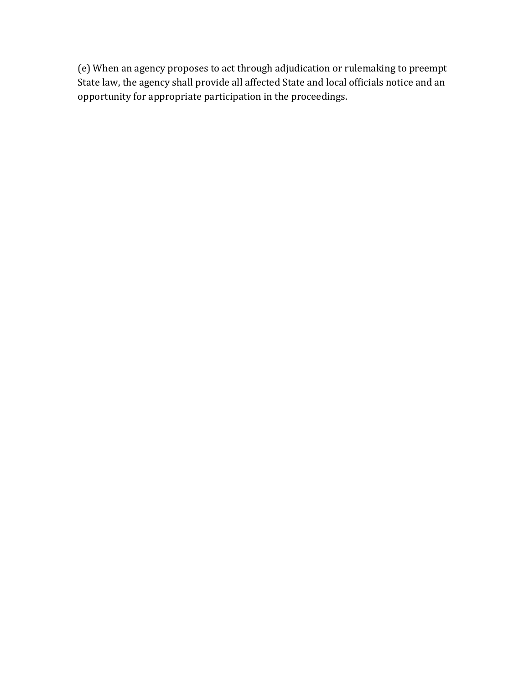(e) When an agency proposes to act through adjudication or rulemaking to preempt State law, the agency shall provide all affected State and local officials notice and an opportunity for appropriate participation in the proceedings.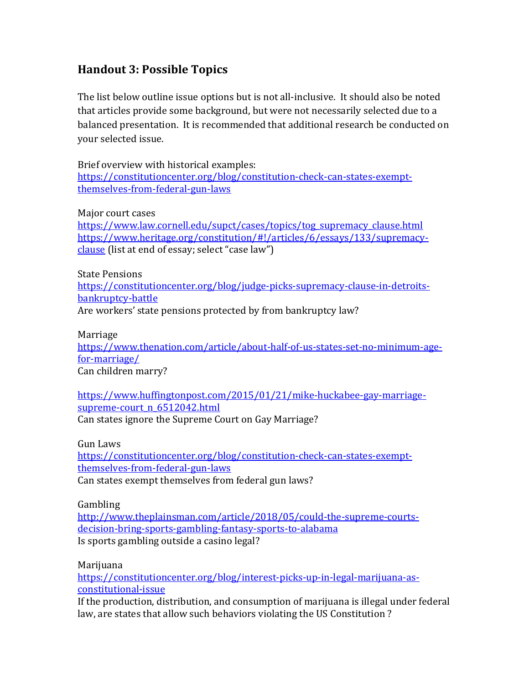### **Handout 3: Possible Topics**

The list below outline issue options but is not all-inclusive. It should also be noted that articles provide some background, but were not necessarily selected due to a balanced presentation. It is recommended that additional research be conducted on your selected issue.

Brief overview with historical examples: [https://constitutioncenter.org/blog/constitution-check-can-states-exempt](https://constitutioncenter.org/blog/constitution-check-can-states-exempt-themselves-from-federal-gun-laws)[themselves-from-federal-gun-laws](https://constitutioncenter.org/blog/constitution-check-can-states-exempt-themselves-from-federal-gun-laws)

Major court cases

[https://www.law.cornell.edu/supct/cases/topics/tog\\_supremacy\\_clause.html](https://www.law.cornell.edu/supct/cases/topics/tog_supremacy_clause.html) [https://www.heritage.org/constitution/#!/articles/6/essays/133/supremacy](https://www.heritage.org/constitution/#!/articles/6/essays/133/supremacy-clause)[clause](https://www.heritage.org/constitution/#!/articles/6/essays/133/supremacy-clause) (list at end of essay; select "case law")

State Pensions

[https://constitutioncenter.org/blog/judge-picks-supremacy-clause-in-detroits](https://constitutioncenter.org/blog/judge-picks-supremacy-clause-in-detroits-bankruptcy-battle)[bankruptcy-battle](https://constitutioncenter.org/blog/judge-picks-supremacy-clause-in-detroits-bankruptcy-battle)

Are workers' state pensions protected by from bankruptcy law?

Marriage

[https://www.thenation.com/article/about-half-of-us-states-set-no-minimum-age](https://www.thenation.com/article/about-half-of-us-states-set-no-minimum-age-for-marriage/)[for-marriage/](https://www.thenation.com/article/about-half-of-us-states-set-no-minimum-age-for-marriage/)

Can children marry?

[https://www.huffingtonpost.com/2015/01/21/mike-huckabee-gay-marriage](https://www.huffingtonpost.com/2015/01/21/mike-huckabee-gay-marriage-supreme-court_n_6512042.html)supreme-court n 6512042.html Can states ignore the Supreme Court on Gay Marriage?

Gun Laws

[https://constitutioncenter.org/blog/constitution-check-can-states-exempt](https://constitutioncenter.org/blog/constitution-check-can-states-exempt-themselves-from-federal-gun-laws)[themselves-from-federal-gun-laws](https://constitutioncenter.org/blog/constitution-check-can-states-exempt-themselves-from-federal-gun-laws) Can states exempt themselves from federal gun laws?

Gambling

[http://www.theplainsman.com/article/2018/05/could-the-supreme-courts](http://www.theplainsman.com/article/2018/05/could-the-supreme-courts-decision-bring-sports-gambling-fantasy-sports-to-alabama)[decision-bring-sports-gambling-fantasy-sports-to-alabama](http://www.theplainsman.com/article/2018/05/could-the-supreme-courts-decision-bring-sports-gambling-fantasy-sports-to-alabama) Is sports gambling outside a casino legal?

Marijuana

[https://constitutioncenter.org/blog/interest-picks-up-in-legal-marijuana-as](https://constitutioncenter.org/blog/interest-picks-up-in-legal-marijuana-as-constitutional-issue)[constitutional-issue](https://constitutioncenter.org/blog/interest-picks-up-in-legal-marijuana-as-constitutional-issue)

If the production, distribution, and consumption of marijuana is illegal under federal law, are states that allow such behaviors violating the US Constitution ?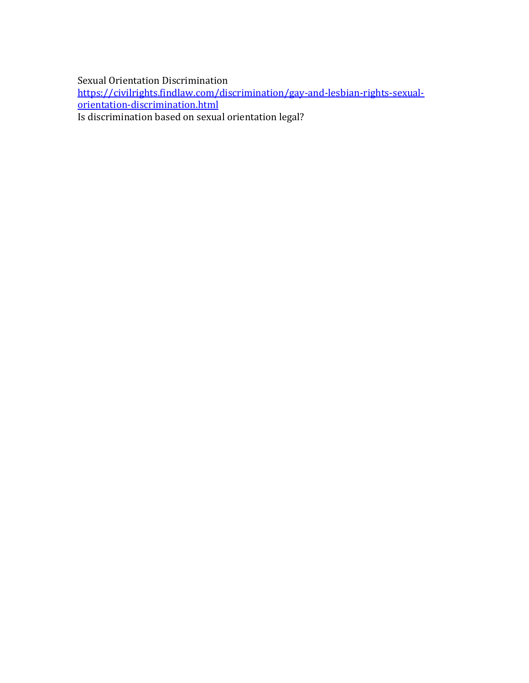Sexual Orientation Discrimination

[https://civilrights.findlaw.com/discrimination/gay-and-lesbian-rights-sexual](https://civilrights.findlaw.com/discrimination/gay-and-lesbian-rights-sexual-orientation-discrimination.html)[orientation-discrimination.html](https://civilrights.findlaw.com/discrimination/gay-and-lesbian-rights-sexual-orientation-discrimination.html) Is discrimination based on sexual orientation legal?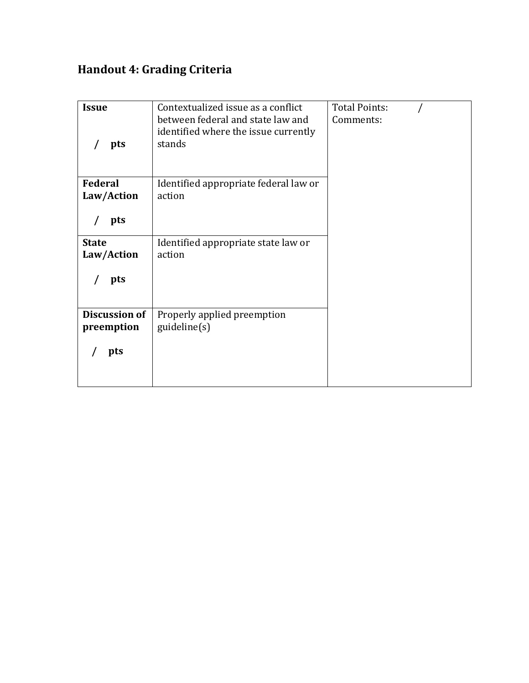# **Handout 4: Grading Criteria**

| <b>Issue</b><br>pts                       | Contextualized issue as a conflict<br>between federal and state law and<br>identified where the issue currently<br>stands | <b>Total Points:</b><br>Comments: |  |
|-------------------------------------------|---------------------------------------------------------------------------------------------------------------------------|-----------------------------------|--|
| <b>Federal</b><br>Law/Action<br>pts       | Identified appropriate federal law or<br>action                                                                           |                                   |  |
| <b>State</b><br>Law/Action<br>pts         | Identified appropriate state law or<br>action                                                                             |                                   |  |
| <b>Discussion of</b><br>preemption<br>pts | Properly applied preemption<br>guideline(s)                                                                               |                                   |  |